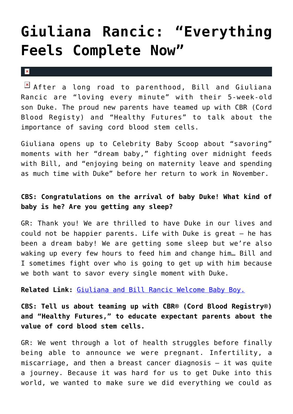## **[Giuliana Rancic: "Everything](https://cupidspulse.com/39267/giuliana-rancic-everything-feels-complete-now/) [Feels Complete Now"](https://cupidspulse.com/39267/giuliana-rancic-everything-feels-complete-now/)**

 $\vert \mathbf{x} \vert$ 

 $\boxed{\times}$  After a long road to parenthood, Bill and Giuliana Rancic are "loving every minute" with their 5-week-old son Duke. The proud new parents have teamed up with CBR (Cord Blood Registy) and "Healthy Futures" to talk about the importance of saving cord blood stem cells.

Giuliana opens up to Celebrity Baby Scoop about "savoring" moments with her "dream baby," fighting over midnight feeds with Bill, and "enjoying being on maternity leave and spending as much time with Duke" before her return to work in November.

## **CBS: Congratulations on the arrival of baby Duke! What kind of baby is he? Are you getting any sleep?**

GR: Thank you! We are thrilled to have Duke in our lives and could not be happier parents. Life with Duke is great — he has been a dream baby! We are getting some sleep but we're also waking up every few hours to feed him and change him… Bill and I sometimes fight over who is going to get up with him because we both want to savor every single moment with Duke.

**Related Link:** [Giuliana and Bill Rancic Welcome Baby Boy.](http://cupidspulse.com/giuliana-bill-rancic-welcome-son/)

**CBS: Tell us about teaming up with CBR® (Cord Blood Registry®) and "Healthy Futures," to educate expectant parents about the value of cord blood stem cells.**

GR: We went through a lot of health struggles before finally being able to announce we were pregnant. Infertility, a miscarriage, and then a breast cancer diagnosis — it was quite a journey. Because it was hard for us to get Duke into this world, we wanted to make sure we did everything we could as